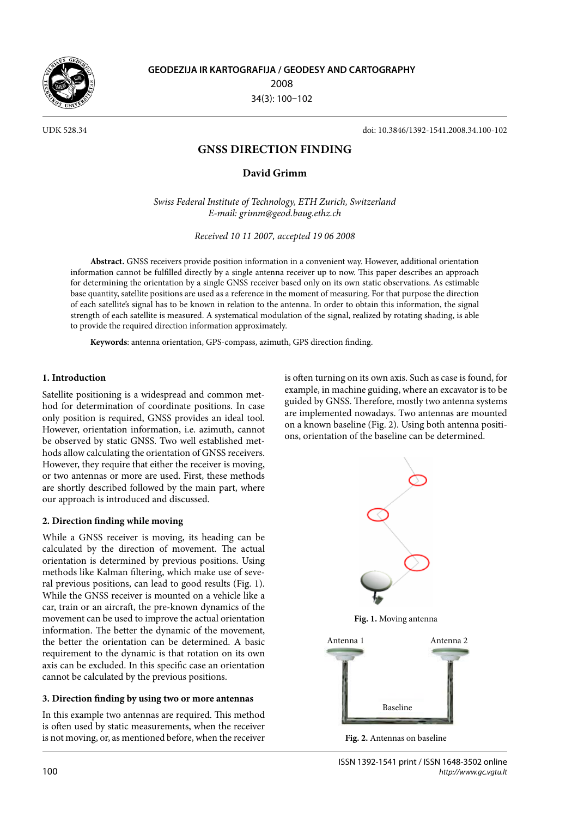

UDK 528.34 doi: 10.3846/1392-1541.2008.34.100-102

# **GNSS DIRECTION FINDING**

# **David Grimm**

*Swiss Federal Institute of Technology, ETH Zurich, Switzerland E-mail: grimm@geod.baug.ethz.ch*

*Received 10 11 2007, accepted 19 06 2008*

**Abstract.** GNSS receivers provide position information in a convenient way. However, additional orientation information cannot be fulfilled directly by a single antenna receiver up to now. This paper describes an approach for determining the orientation by a single GNSS receiver based only on its own static observations. As estimable base quantity, satellite positions are used as a reference in the moment of measuring. For that purpose the direction of each satellite's signal has to be known in relation to the antenna. In order to obtain this information, the signal strength of each satellite is measured. A systematical modulation of the signal, realized by rotating shading, is able to provide the required direction information approximately.

**Keywords**: antenna orientation, GPS-compass, azimuth, GPS direction finding.

### **1. Introduction**

Satellite positioning is a widespread and common method for determination of coordinate positions. In case only position is required, GNSS provides an ideal tool. However, orientation information, i.e. azimuth, cannot be observed by static GNSS. Two well established methods allow calculating the orientation of GNSS receivers. However, they require that either the receiver is moving, or two antennas or more are used. First, these methods are shortly described followed by the main part, where our approach is introduced and discussed.

## **2. Direction finding while moving**

While a GNSS receiver is moving, its heading can be calculated by the direction of movement. The actual orientation is determined by previous positions. Using methods like Kalman filtering, which make use of several previous positions, can lead to good results (Fig. 1). While the GNSS receiver is mounted on a vehicle like a car, train or an aircraft, the pre-known dynamics of the movement can be used to improve the actual orientation information. The better the dynamic of the movement, the better the orientation can be determined. A basic requirement to the dynamic is that rotation on its own axis can be excluded. In this specific case an orientation cannot be calculated by the previous positions.

## **3. Direction finding by using two or more antennas**

In this example two antennas are required. This method is often used by static measurements, when the receiver is not moving, or, as mentioned before, when the receiver is often turning on its own axis. Such as case is found, for example, in machine guiding, where an excavator is to be guided by GNSS. Therefore, mostly two antenna systems are implemented nowadays. Two antennas are mounted on a known baseline (Fig. 2). Using both antenna positions, orientation of the baseline can be determined.

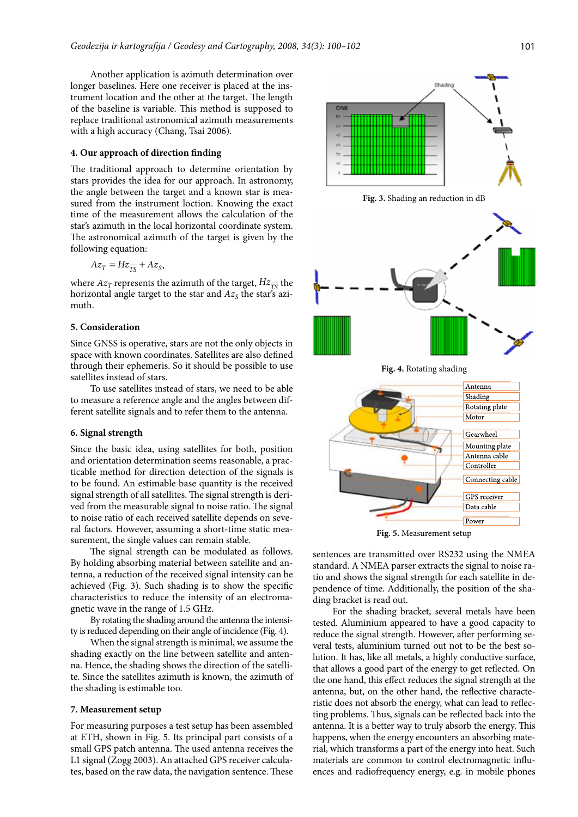Another application is azimuth determination over longer baselines. Here one receiver is placed at the instrument location and the other at the target. The length of the baseline is variable. This method is supposed to replace traditional astronomical azimuth measurements with a high accuracy (Chang, Tsai 2006).

### **4. Our approach of direction finding**

The traditional approach to determine orientation by stars provides the idea for our approach. In astronomy, the angle between the target and a known star is measured from the instrument loction. Knowing the exact time of the measurement allows the calculation of the star's azimuth in the local horizontal coordinate system. The astronomical azimuth of the target is given by the following equation:

$$
Az_T = Hz_{\overline{TS}} + Az_S,
$$

where  $Az_T$  represents the azimuth of the target,  $Hz_{TS}^-$  the horizontal angle target to the star and  $Az<sub>S</sub>$  the star's azimuth.

#### **5. Consideration**

Since GNSS is operative, stars are not the only objects in space with known coordinates. Satellites are also defined through their ephemeris. So it should be possible to use satellites instead of stars.

To use satellites instead of stars, we need to be able to measure a reference angle and the angles between different satellite signals and to refer them to the antenna.

#### **6. Signal strength**

Since the basic idea, using satellites for both, position and orientation determination seems reasonable, a practicable method for direction detection of the signals is to be found. An estimable base quantity is the received signal strength of all satellites. The signal strength is derived from the measurable signal to noise ratio. The signal to noise ratio of each received satellite depends on several factors. However, assuming a short-time static measurement, the single values can remain stable.

The signal strength can be modulated as follows. By holding absorbing material between satellite and antenna, a reduction of the received signal intensity can be achieved (Fig. 3). Such shading is to show the specific characteristics to reduce the intensity of an electromagnetic wave in the range of 1.5 GHz.

By rotating the shading around the antenna the intensity is reduced depending on their angle of incidence (Fig. 4).

When the signal strength is minimal, we assume the shading exactly on the line between satellite and antenna. Hence, the shading shows the direction of the satellite. Since the satellites azimuth is known, the azimuth of the shading is estimable too.

#### **7. Measurement setup**

For measuring purposes a test setup has been assembled at ETH, shown in Fig. 5. Its principal part consists of a small GPS patch antenna. The used antenna receives the L1 signal (Zogg 2003). An attached GPS receiver calculates, based on the raw data, the navigation sentence. These





**Fig. 4.** Rotating shading



**Fig. 5.** Measurement setup

sentences are transmitted over RS232 using the NMEA standard. A NMEA parser extracts the signal to noise ratio and shows the signal strength for each satellite in dependence of time. Additionally, the position of the shading bracket is read out.

For the shading bracket, several metals have been tested. Aluminium appeared to have a good capacity to reduce the signal strength. However, after performing several tests, aluminium turned out not to be the best solution. It has, like all metals, a highly conductive surface, that allows a good part of the energy to get reflected. On the one hand, this effect reduces the signal strength at the antenna, but, on the other hand, the reflective characteristic does not absorb the energy, what can lead to reflecting problems. Thus, signals can be reflected back into the antenna. It is a better way to truly absorb the energy. This happens, when the energy encounters an absorbing material, which transforms a part of the energy into heat. Such materials are common to control electromagnetic influences and radiofrequency energy, e.g. in mobile phones